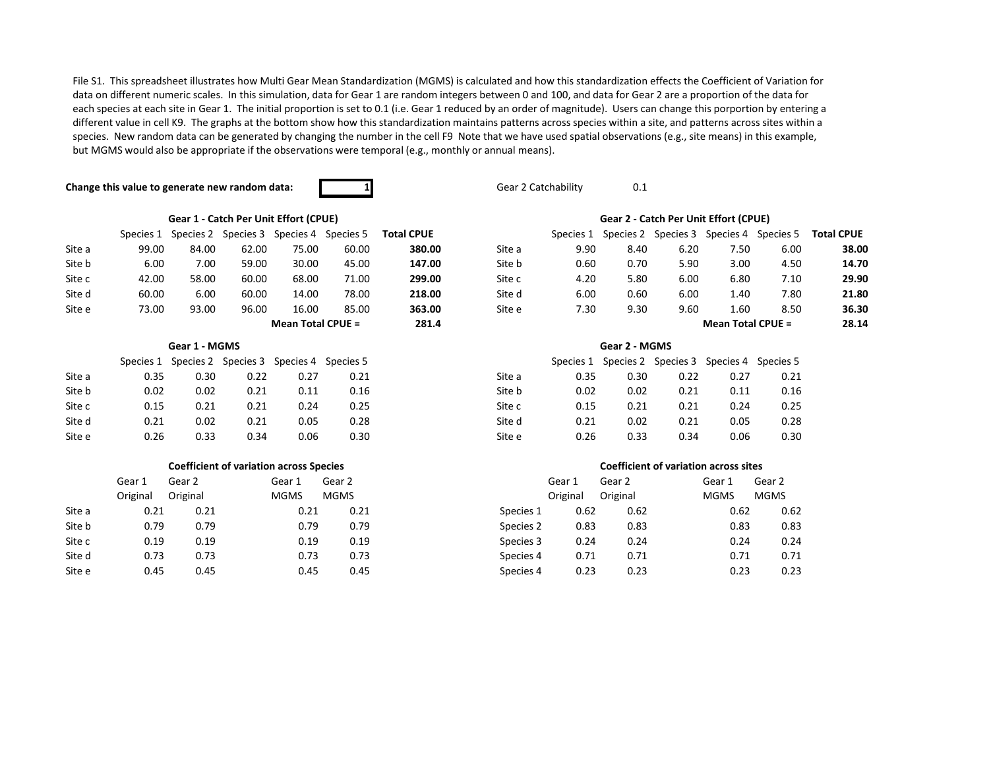File S1. This spreadsheet illustrates how Multi Gear Mean Standardization (MGMS) is calculated and how this standardization effects the Coefficient of Variation for data on different numeric scales. In this simulation, data for Gear 1 are random integers between 0 and 100, and data for Gear 2 are a proportion of the data for each species at each site in Gear 1. The initial proportion is set to 0.1 (i.e. Gear 1 reduced by an order of magnitude). Users can change this porportion by entering a different value in cell K9. The graphs at the bottom show how this standardization maintains patterns across species within a site, and patterns across sites within a species. New random data can be generated by changing the number in the cell F9 Note that we have used spatial observations (e.g., site means) in this example, but MGMS would also be appropriate if the observations were temporal (e.g., monthly or annual means).

## **Change this value to generate new random data: <b>1** 1 Gear 2 Catchability 0.1



# **Gear 1 - Catch Per Unit Effort (CPUE) Gear 2 - Catch Per Unit Effort (CPUE)**

|        | Species 1 | Species 2 | Species 3 | Species 4         | Species 5 | <b>Total CPUE</b> |        | Species 1 |      | Species 2 Species 3 | Species 4           | Species 5 | <b>Total CPUE</b> |
|--------|-----------|-----------|-----------|-------------------|-----------|-------------------|--------|-----------|------|---------------------|---------------------|-----------|-------------------|
| Site a | 99.00     | 84.00     | 62.00     | 75.00             | 60.00     | 380.00            | Site a | 9.90      | 8.40 | 6.20                | 7.50                | 6.00      | 38.00             |
| Site b | 6.00      | 7.00      | 59.00     | 30.00             | 45.00     | 147.00            | Site b | 0.60      | 0.70 | 5.90                | 3.00                | 4.50      | 14.70             |
| Site c | 42.00     | 58.00     | 60.00     | 68.00             | 71.00     | 299.00            | Site c | 4.20      | 5.80 | 6.00                | 6.80                | 7.10      | 29.90             |
| Site d | 60.00     | 6.00      | 60.00     | 14.00             | 78.00     | 218.00            | Site d | 6.00      | 0.60 | 6.00                | 1.40                | 7.80      | 21.80             |
| Site e | 73.00     | 93.00     | 96.00     | 16.00             | 85.00     | 363.00            | Site e | 7.30      | 9.30 | 9.60                | L.60                | 8.50      | 36.30             |
|        |           |           |           | Mean Total CPUE = |           | 281.4             |        |           |      |                     | Mean Total CPUE $=$ |           | 28.14             |

|        |      | Species 1 Species 2 Species 3 Species 4 Species 5 |      |      |      |        |      | Species 1 Species 2 Species 3 Species 4 Species 5 |      |      |      |
|--------|------|---------------------------------------------------|------|------|------|--------|------|---------------------------------------------------|------|------|------|
| Site a | 0.35 | 0.30                                              | 0.22 | 0.27 | 0.21 | Site a | 0.35 | 0.30                                              | 0.22 | 0.27 | 0.21 |
| Site b | 0.02 | 0.02                                              | 0.21 | 0.11 | 0.16 | Site b | 0.02 | 0.02                                              | 0.21 | 0.11 | 0.16 |
| Site c | 0.15 | 0.21                                              | 0.21 | 0.24 | 0.25 | Site c | 0.15 | 0.21                                              | 0.21 | 0.24 | 0.25 |
| Site d | 0.21 | 0.02                                              | 0.21 | 0.05 | 0.28 | Site d | 0.21 | 0.02                                              | 0.21 | 0.05 | 0.28 |
| Site e | 0.26 | 0.33                                              | 0.34 | 0.06 | 0.30 | Site e | 0.26 | 0.33                                              | 0.34 | 0.06 | 0.30 |

### **Coefficient of variation across Species Coefficient of variation across sites**

|        | Gear 1   | Gear 2   | Gear 1      | Gear 2      |           | Gear 1   | Gear 2   | Gear 1      | Gear 2      |  |
|--------|----------|----------|-------------|-------------|-----------|----------|----------|-------------|-------------|--|
|        | Original | Original | <b>MGMS</b> | <b>MGMS</b> |           | Original | Original | <b>MGMS</b> | <b>MGMS</b> |  |
| Site a | 0.21     | 0.21     | 0.21        | 0.21        | Species 1 | 0.62     | 0.62     | 0.62        | 0.62        |  |
| Site b | 0.79     | 0.79     | 0.79        | 0.79        | Species 2 | 0.83     | 0.83     | 0.83        | 0.83        |  |
| Site c | 0.19     | 0.19     | 0.19        | 0.19        | Species 3 | 0.24     | 0.24     | 0.24        | 0.24        |  |
| Site d | 0.73     | 0.73     | 0.73        | 0.73        | Species 4 | 0.71     | 0.71     | 0.71        | 0.71        |  |
| Site e | 0.45     | 0.45     | 0.45        | 0.45        | Species 4 | 0.23     | 0.23     | 0.23        | 0.23        |  |

| <b>Total CPUE</b> | Species 5 | Species 4                | Species 3 | Species 2 | Species 1 |        | <b>Total CPUE</b> | Species 5         | Species 4 | Species 3 | Species 2 | Species 1 |  |
|-------------------|-----------|--------------------------|-----------|-----------|-----------|--------|-------------------|-------------------|-----------|-----------|-----------|-----------|--|
| 38.00             | 6.00      | 7.50                     | 6.20      | 8.40      | 9.90      | Site a | 380.00            | 60.00             | 75.00     | 62.00     | 84.00     | 99.00     |  |
| 14.70             | 4.50      | 3.00                     | 5.90      | 0.70      | 0.60      | Site b | 147.00            | 45.00             | 30.00     | 59.00     | 7.00      | 6.00      |  |
| 29.90             | 7.10      | 6.80                     | 6.00      | 5.80      | 4.20      | Site c | 299.00            | 71.00             | 68.00     | 60.00     | 58.00     | 42.00     |  |
| 21.80             | 7.80      | 1.40                     | 6.00      | 0.60      | 6.00      | Site d | 218.00            | 78.00             | 14.00     | 60.00     | 6.00      | 60.00     |  |
| 36.30             | 8.50      | 1.60                     | 9.60      | 9.30      | 7.30      | Site e | 363.00            | 85.00             | 16.00     | 96.00     | 93.00     | 73.00     |  |
| 28.14             |           | <b>Mean Total CPUE =</b> |           |           |           |        | 281.4             | Mean Total CPUE = |           |           |           |           |  |

### **Gear 1 - MGMS Gear 2 - MGMS**

|        |      | Species 1 Species 2 Species 3 Species 4 Species 5 |      |      |      |        |      | Species 1 Species 2 Species 3 Species 4 Species 5 |      |      |      |
|--------|------|---------------------------------------------------|------|------|------|--------|------|---------------------------------------------------|------|------|------|
| Site a | 0.35 | 0.30                                              | 0.22 | 0.27 | 0.21 | Site a | 0.35 | 0.30                                              | 0.22 | 0.27 | 0.21 |
| Site b | 0.02 | 0.02                                              | 0.21 | 0.11 | 0.16 | Site b | 0.02 | 0.02                                              | 0.21 | 0.11 | 0.16 |
| Site c | 0.15 | 0.21                                              | 0.21 | 0.24 | 0.25 | Site c | 0.15 | 0.21                                              | 0.21 | 0.24 | 0.25 |
| Site d | 0.21 | 0.02                                              | 0.21 | 0.05 | 0.28 | Site d | 0.21 | 0.02                                              | 0.21 | 0.05 | 0.28 |
| Site e | 0.26 | 0.33                                              | 0.34 | 0.06 | 0.30 | Site e | 0.26 | 0.33                                              | 0.34 | 0.06 | 0.30 |

|        | Gear 1   | Gear 2   | Gear 1      | Gear 2      |           | Gear 1   | Gear 2   | Gear 1      | Gear 2      |
|--------|----------|----------|-------------|-------------|-----------|----------|----------|-------------|-------------|
|        | Original | Original | <b>MGMS</b> | <b>MGMS</b> |           | Original | Original | <b>MGMS</b> | <b>MGMS</b> |
| Site a | 0.21     | 0.21     | 0.21        | 0.21        | Species 1 | 0.62     | 0.62     | 0.62        | 0.62        |
| Site b | 0.79     | 0.79     | 0.79        | 0.79        | Species 2 | 0.83     | 0.83     | 0.83        | 0.83        |
| Site c | 0.19     | 0.19     | 0.19        | 0.19        | Species 3 | 0.24     | 0.24     | 0.24        | 0.24        |
| Site d | 0.73     | 0.73     | 0.73        | 0.73        | Species 4 | 0.71     | 0.71     | 0.71        | 0.71        |
| Site e | 0.45     | 0.45     | 0.45        | 0.45        | Species 4 | 0.23     | 0.23     | 0.23        | 0.23        |